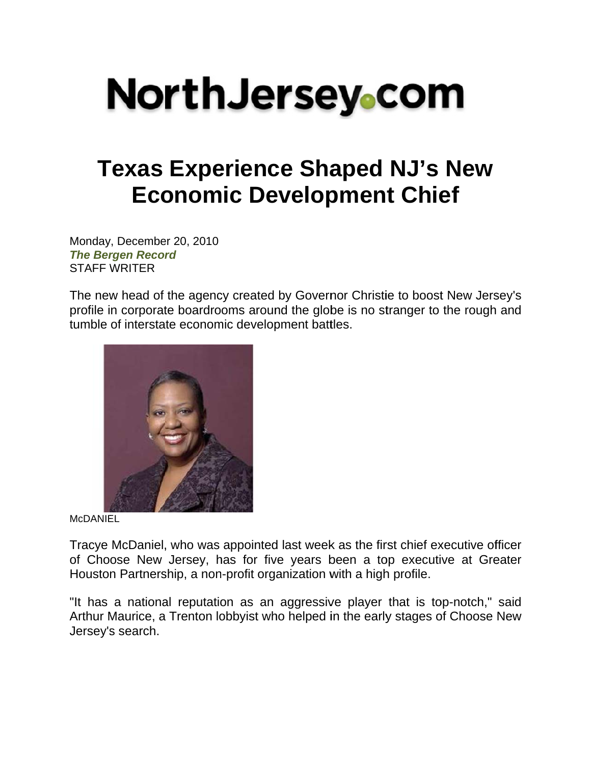## **NorthJersey**.com

## **Texas Experience Shaped NJ's New Economic Development Chief**

Monday, December 20, 2010 **The Bergen Record STAFF WRITER** 

The new head of the agency created by Governor Christie to boost New Jersey's profile in corporate boardrooms around the globe is no stranger to the rough and tumble of interstate economic development battles.



**McDANIEL** 

Tracye McDaniel, who was appointed last week as the first chief executive officer of Choose New Jersey, has for five years been a top executive at Greater Houston Partnership, a non-profit organization with a high profile.

"It has a national reputation as an aggressive player that is top-notch," said Arthur Maurice, a Trenton lobbyist who helped in the early stages of Choose New Jersey's search.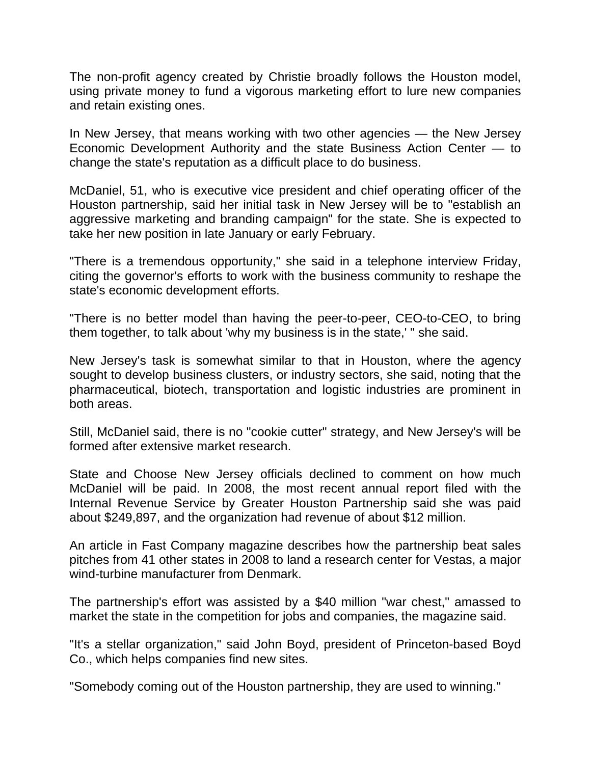The non-profit agency created by Christie broadly follows the Houston model, using private money to fund a vigorous marketing effort to lure new companies and retain existing ones.

In New Jersey, that means working with two other agencies — the New Jersey Economic Development Authority and the state Business Action Center — to change the state's reputation as a difficult place to do business.

McDaniel, 51, who is executive vice president and chief operating officer of the Houston partnership, said her initial task in New Jersey will be to "establish an aggressive marketing and branding campaign" for the state. She is expected to take her new position in late January or early February.

"There is a tremendous opportunity," she said in a telephone interview Friday, citing the governor's efforts to work with the business community to reshape the state's economic development efforts.

"There is no better model than having the peer-to-peer, CEO-to-CEO, to bring them together, to talk about 'why my business is in the state,' " she said.

New Jersey's task is somewhat similar to that in Houston, where the agency sought to develop business clusters, or industry sectors, she said, noting that the pharmaceutical, biotech, transportation and logistic industries are prominent in both areas.

Still, McDaniel said, there is no "cookie cutter" strategy, and New Jersey's will be formed after extensive market research.

State and Choose New Jersey officials declined to comment on how much McDaniel will be paid. In 2008, the most recent annual report filed with the Internal Revenue Service by Greater Houston Partnership said she was paid about \$249,897, and the organization had revenue of about \$12 million.

An article in Fast Company magazine describes how the partnership beat sales pitches from 41 other states in 2008 to land a research center for Vestas, a major wind-turbine manufacturer from Denmark.

The partnership's effort was assisted by a \$40 million "war chest," amassed to market the state in the competition for jobs and companies, the magazine said.

"It's a stellar organization," said John Boyd, president of Princeton-based Boyd Co., which helps companies find new sites.

"Somebody coming out of the Houston partnership, they are used to winning."